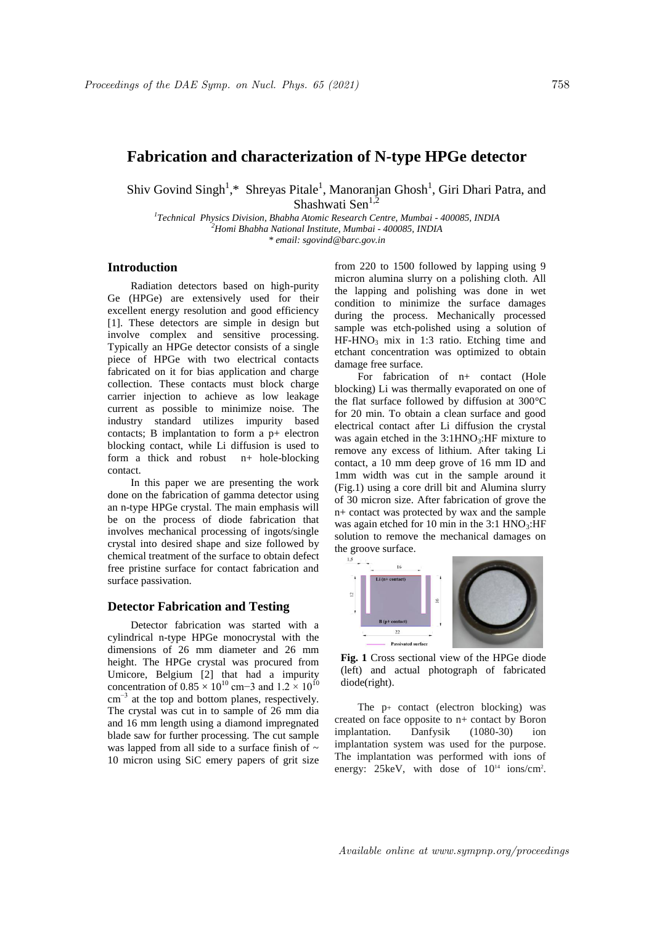## **Fabrication and characterization of N-type HPGe detector**

Shiv Govind Singh<sup>1</sup>,\* Shreyas Pitale<sup>1</sup>, Manoranjan Ghosh<sup>1</sup>, Giri Dhari Patra, and Shashwati Sen $^{1,2}$ 

*1 Technical Physics Division, Bhabha Atomic Research Centre, Mumbai - 400085, INDIA <sup>2</sup>Homi Bhabha National Institute, Mumbai - 400085, INDIA \* email: sgovind@barc.gov.in*

## **Introduction**

Radiation detectors based on high-purity Ge (HPGe) are extensively used for their excellent energy resolution and good efficiency [1]. These detectors are simple in design but involve complex and sensitive processing. Typically an HPGe detector consists of a single piece of HPGe with two electrical contacts fabricated on it for bias application and charge collection. These contacts must block charge carrier injection to achieve as low leakage current as possible to minimize noise. The industry standard utilizes impurity based contacts; B implantation to form a p+ electron blocking contact, while Li diffusion is used to form a thick and robust n+ hole-blocking contact.

In this paper we are presenting the work done on the fabrication of gamma detector using an n-type HPGe crystal. The main emphasis will be on the process of diode fabrication that involves mechanical processing of ingots/single crystal into desired shape and size followed by chemical treatment of the surface to obtain defect free pristine surface for contact fabrication and surface passivation.

## **Detector Fabrication and Testing**

Detector fabrication was started with a cylindrical n-type HPGe monocrystal with the dimensions of 26 mm diameter and 26 mm height. The HPGe crystal was procured from Umicore, Belgium [2] that had a impurity concentration of  $0.85 \times 10^{10}$  cm−3 and  $1.2 \times 10^{10}$ cm<sup>-3</sup> at the top and bottom planes, respectively. The crystal was cut in to sample of 26 mm dia and 16 mm length using a diamond impregnated blade saw for further processing. The cut sample was lapped from all side to a surface finish of  $\sim$ 10 micron using SiC emery papers of grit size from 220 to 1500 followed by lapping using 9 micron alumina slurry on a polishing cloth. All the lapping and polishing was done in wet condition to minimize the surface damages during the process. Mechanically processed sample was etch-polished using a solution of  $HF-HNO<sub>3</sub>$  mix in 1:3 ratio. Etching time and etchant concentration was optimized to obtain damage free surface.

For fabrication of n+ contact (Hole blocking) Li was thermally evaporated on one of the flat surface followed by diffusion at 300°C for 20 min. To obtain a clean surface and good electrical contact after Li diffusion the crystal was again etched in the  $3:1HNO<sub>3</sub>:HF$  mixture to remove any excess of lithium. After taking Li contact, a 10 mm deep grove of 16 mm ID and 1mm width was cut in the sample around it (Fig.1) using a core drill bit and Alumina slurry of 30 micron size. After fabrication of grove the n+ contact was protected by wax and the sample was again etched for 10 min in the  $3:1 \text{ HNO}_3$ :HF solution to remove the mechanical damages on the groove surface.



**Fig. 1** Cross sectional view of the HPGe diode (left) and actual photograph of fabricated diode(right).

The  $p$ <sup>+</sup> contact (electron blocking) was created on face opposite to n+ contact by Boron implantation. Danfysik (1080-30) ion implantation system was used for the purpose. The implantation was performed with ions of energy: 25keV, with dose of  $10^{14}$  ions/cm<sup>2</sup>.